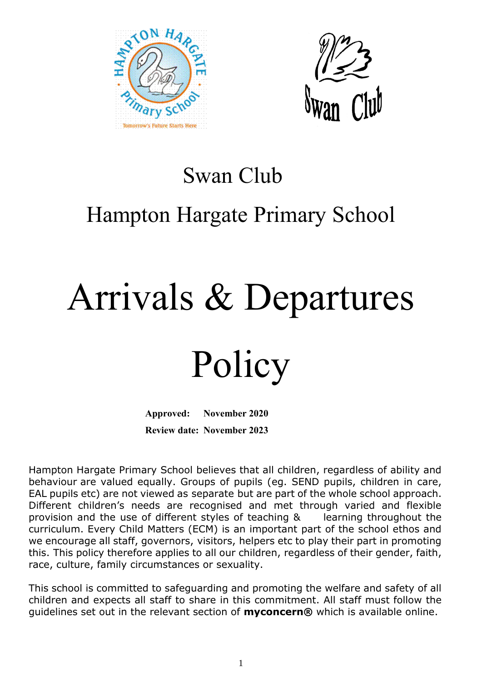



### Swan Club

## Hampton Hargate Primary School

# Arrivals & Departures

## Policy

**Approved: November 2020 Review date: November 2023**

Hampton Hargate Primary School believes that all children, regardless of ability and behaviour are valued equally. Groups of pupils (eg. SEND pupils, children in care, EAL pupils etc) are not viewed as separate but are part of the whole school approach. Different children's needs are recognised and met through varied and flexible provision and the use of different styles of teaching & learning throughout the curriculum. Every Child Matters (ECM) is an important part of the school ethos and we encourage all staff, governors, visitors, helpers etc to play their part in promoting this. This policy therefore applies to all our children, regardless of their gender, faith, race, culture, family circumstances or sexuality.

This school is committed to safeguarding and promoting the welfare and safety of all children and expects all staff to share in this commitment. All staff must follow the guidelines set out in the relevant section of **myconcern®** which is available online.